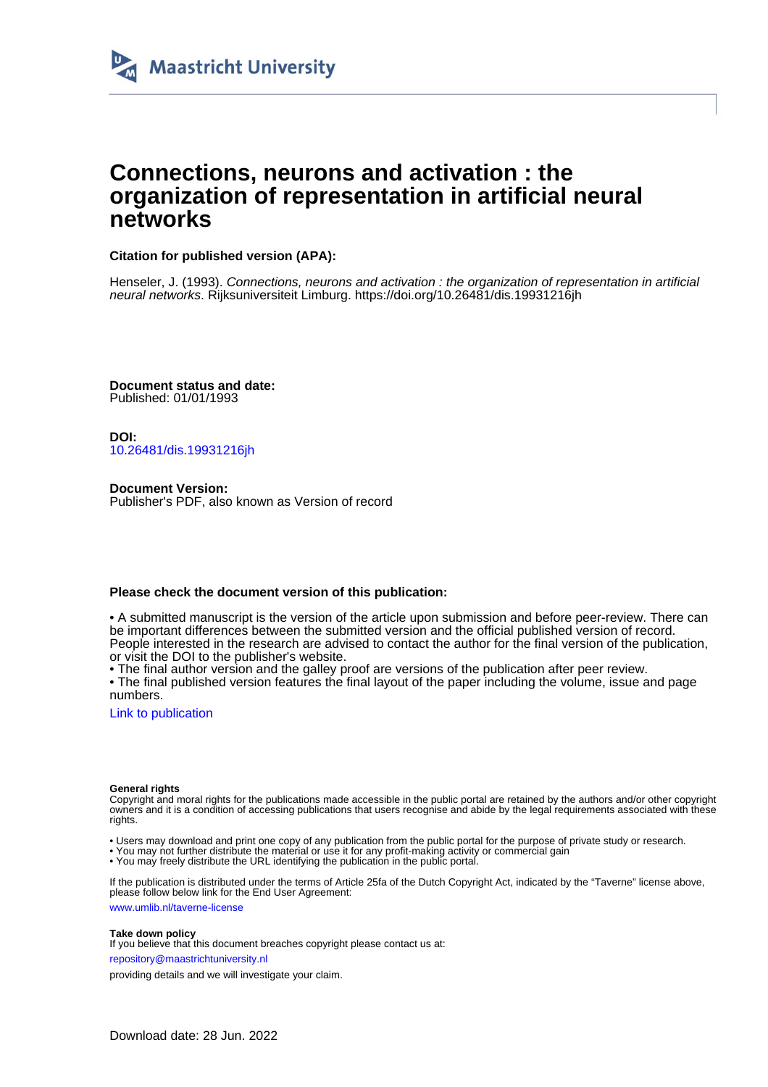

# **Connections, neurons and activation : the organization of representation in artificial neural networks**

### **Citation for published version (APA):**

Henseler, J. (1993). Connections, neurons and activation : the organization of representation in artificial neural networks. Rijksuniversiteit Limburg.<https://doi.org/10.26481/dis.19931216jh>

**Document status and date:** Published: 01/01/1993

**DOI:** [10.26481/dis.19931216jh](https://doi.org/10.26481/dis.19931216jh)

**Document Version:** Publisher's PDF, also known as Version of record

#### **Please check the document version of this publication:**

• A submitted manuscript is the version of the article upon submission and before peer-review. There can be important differences between the submitted version and the official published version of record. People interested in the research are advised to contact the author for the final version of the publication, or visit the DOI to the publisher's website.

• The final author version and the galley proof are versions of the publication after peer review.

• The final published version features the final layout of the paper including the volume, issue and page numbers.

[Link to publication](https://cris.maastrichtuniversity.nl/en/publications/9a98b373-0e3b-4cd9-884d-35800c578da9)

#### **General rights**

Copyright and moral rights for the publications made accessible in the public portal are retained by the authors and/or other copyright owners and it is a condition of accessing publications that users recognise and abide by the legal requirements associated with these rights.

- Users may download and print one copy of any publication from the public portal for the purpose of private study or research.
- You may not further distribute the material or use it for any profit-making activity or commercial gain
- You may freely distribute the URL identifying the publication in the public portal.

If the publication is distributed under the terms of Article 25fa of the Dutch Copyright Act, indicated by the "Taverne" license above, please follow below link for the End User Agreement:

www.umlib.nl/taverne-license

#### **Take down policy**

If you believe that this document breaches copyright please contact us at:

repository@maastrichtuniversity.nl

providing details and we will investigate your claim.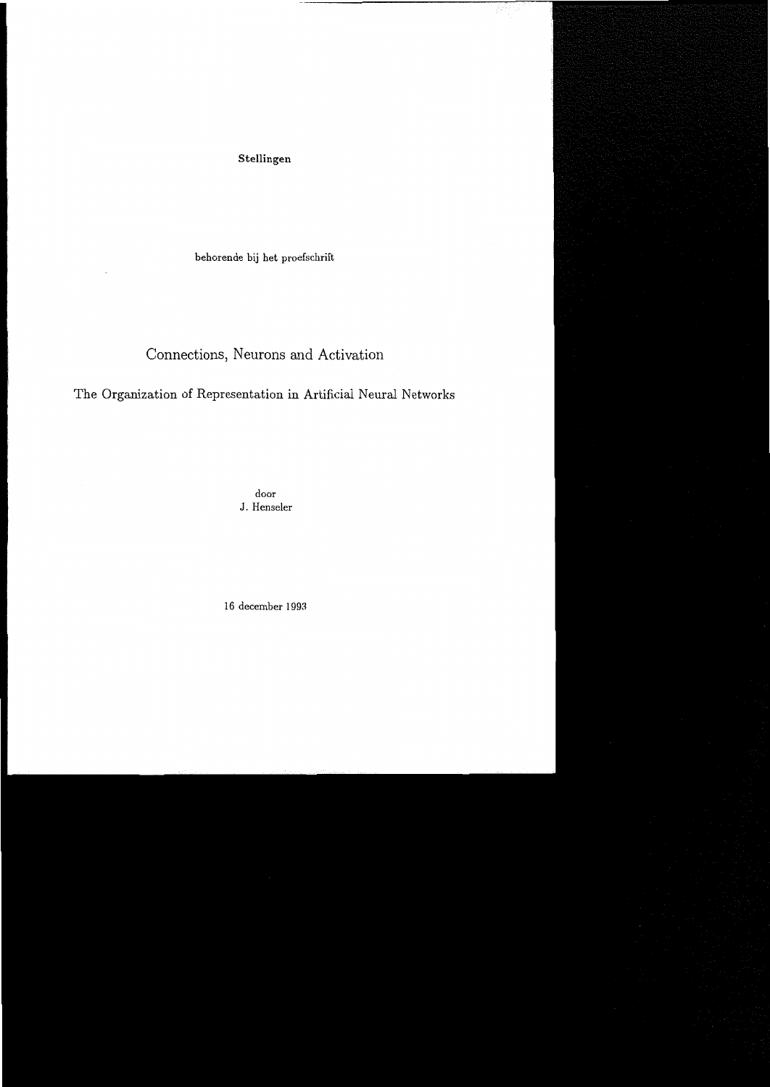Stellingen

behorende bij het proefschrift

## Connections, Neurons and Activation

The Organization of Representation in Artificial Neural Networks

door J. Henseler

16 december 1993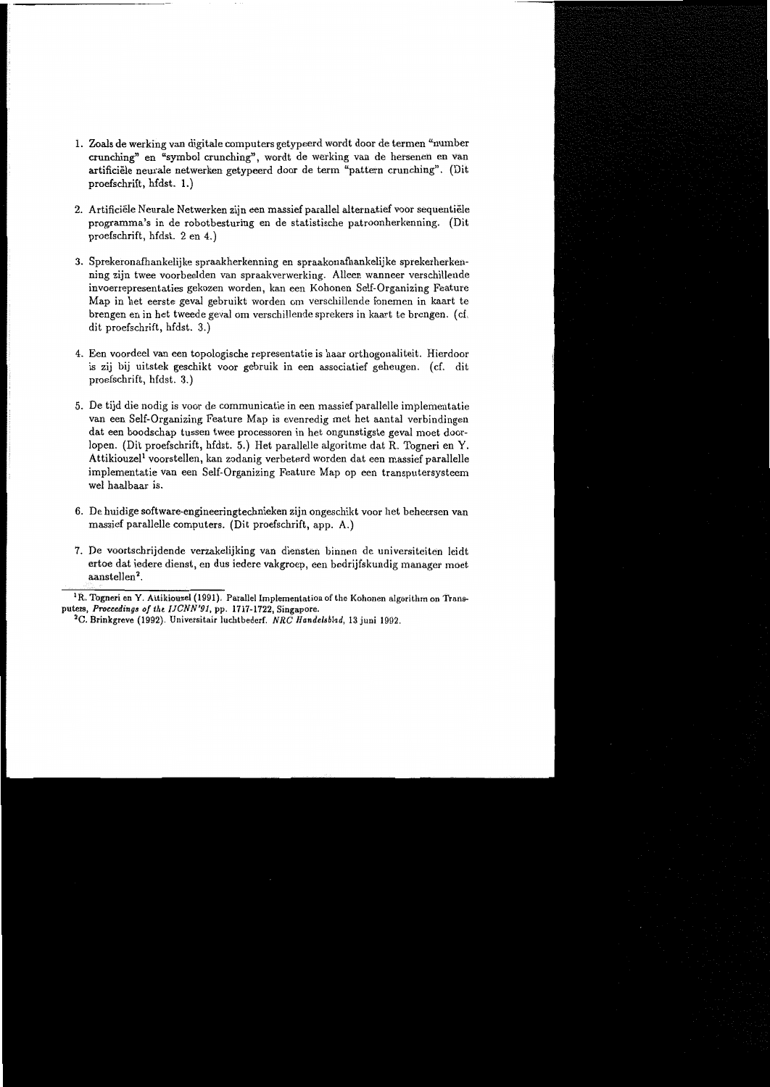- 1. Zoals de werking van digitale computers getypeerd wordt door de termen "number crunching" en "symbol crunching", wordt de werking van de hersenen en van artificiële neurale netwerken getypeerd door de term "pattern crunching". (Dit proefschrift, hfdst. 1.)
- 2. Artificiële Neurale Netwerken zijn een massief parallel alternatief voor sequentiële programma's in de robotbesturing en de statistische patroonherkenning. (Dit proefschrift, hfdst. 2 en 4.)
- 3. Sprekeronafhankelijke spraakherkenning en spraakonafhankelijke sprekerherkenning zijn twee voorbeelden van spraakverwerking. Alleen wanneer verschillende invoerrepresentaties gekozen worden, kan een Kohonen Self-Organizing Feature Map in het eerste geval gebruikt worden om verschillende fonemen in kaart te brengen en in het tweede geval om verschillende sprekers in kaart te brengen. (cf. dit proefschrift, hfdst. 3.)
- 4. Een voordeel van een topologische representatie is haar orthogonaliteit. Hierdoor is zij bij uitstek geschikt voor gebruik in een associatief geheugen. (cf. dit proefschrift, hfdst. 3.)
- 5. De tijd die nodig is voor de communicatie in een massief parallelle implementatie van een Self-Organizing Feature Map is evenredig met het aantal verbindingen dat een boodschap tussen twee processoren in het ongunstigste geval moet doorlopen. (Dit proefschrift, hfdst. 5.) Het parallelle algoritme dat R. Togneri en Y. Attikiouzel<sup>1</sup> voorstellen, kan zodanig verbeterd worden dat een massief parallelle implementatie van een Self-Organizing Feature Map op een transputersysteem wel haalbaar is.
- 6. De huidige software-engineeringtechnieken zijn ongeschikt voor het beheersen van massief parallelle computers. (Dit proefschrift, app. A.)
- 7. De voortschrijdende verzakelijking van diensten binnen de universiteiten leidt ertoe dat iedere dienst, en dus iedere vakgroep, een bedrijfskundig manager moet aanstellen<sup>2</sup>.

<sup>&</sup>lt;sup>1</sup>R. Togneri en Y. Attikiouzel (1991). Parallel Implementation of the Kohonen algorithm on Transputers, Proceedings of the IJCNN'91, pp. 1717-1722, Singapore.

<sup>&</sup>lt;sup>2</sup>C. Brinkgreve (1992). Universitair luchtbederf. NRC Handelsblad, 13 juni 1992.